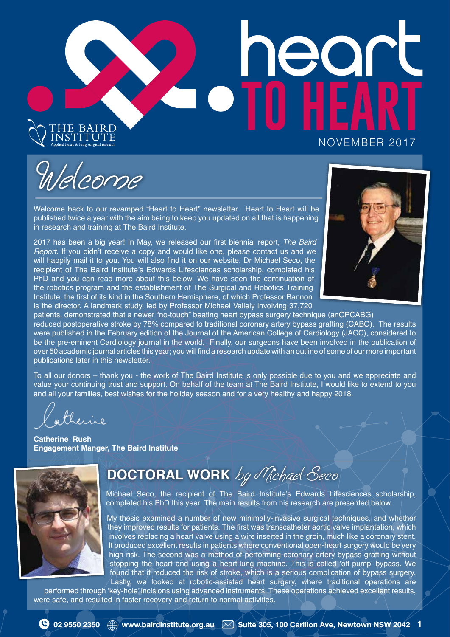# $\rightarrow$ THE BAIRD<br>Institute NOVEMBER 2017

Welcome

Welcome back to our revamped "Heart to Heart" newsletter. Heart to Heart will be published twice a year with the aim being to keep you updated on all that is happening in research and training at The Baird Institute.

2017 has been a big year! In May, we released our frst biennial report, *The Baird Report*. If you didn't receive a copy and would like one, please contact us and we will happily mail it to you. You will also find it on our website. Dr Michael Seco, the recipient of The Baird Institute's Edwards Lifesciences scholarship, completed his PhD and you can read more about this below. We have seen the continuation of the robotics program and the establishment of The Surgical and Robotics Training Institute, the frst of its kind in the Southern Hemisphere, of which Professor Bannon is the director. A landmark study, led by Professor Michael Vallely involving 37,720



patients, demonstrated that a newer "no-touch" beating heart bypass surgery technique (anOPCABG) reduced postoperative stroke by 78% compared to traditional coronary artery bypass grafting (CABG). The results were published in the February edition of the Journal of the American College of Cardiology (JACC), considered to be the pre-eminent Cardiology journal in the world. Finally, our surgeons have been involved in the publication of over 50 academic journal articles this year; you will find a research update with an outline of some of our more important publications later in this newsletter.

To all our donors – thank you - the work of The Baird Institute is only possible due to you and we appreciate and value your continuing trust and support. On behalf of the team at The Baird Institute, I would like to extend to you and all your families, best wishes for the holiday season and for a very healthy and happy 2018.

therise

**Catherine Rush Engagement Manger, The Baird Institute**



# **DOCTORAL WORK** by Michael Seco

Michael Seco, the recipient of The Baird Institute's Edwards Lifesciences scholarship, completed his PhD this year. The main results from his research are presented below.

My thesis examined a number of new minimally-invasive surgical techniques, and whether they improved results for patients. The frst was transcatheter aortic valve implantation, which involves replacing a heart valve using a wire inserted in the groin, much like a coronary stent. It produced excellent results in patients where conventional open-heart surgery would be very high risk. The second was a method of performing coronary artery bypass grafting without stopping the heart and using a heart-lung machine. This is called 'off-pump' bypass. We found that it reduced the risk of stroke, which is a serious complication of bypass surgery. Lastly, we looked at robotic-assisted heart surgery, where traditional operations are

performed through 'key-hole' incisions using advanced instruments. These operations achieved excellent results, were safe, and resulted in faster recovery and return to normal activities.



 **02 9550 2350**   $\oplus$  www.bairdinstitute.org.au  $\boxtimes$  Suite 305, 100 Carillon Ave, Newtown NSW 2042 1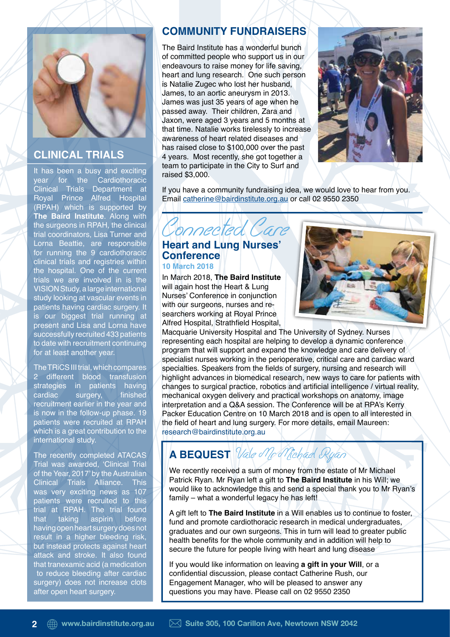

# **CLINICAL TRIALS**

It has been a busy and exciting year for the Cardiothoracic Clinical Trials Department at Royal Prince Alfred Hospital (RPAH) which is supported by **The Baird Institute**. Along with the surgeons in RPAH, the clinical trial coordinators, Lisa Turner and Lorna Beattie, are responsible for running the 9 cardiothoracic clinical trials and registries within the hospital. One of the current trials we are involved in is the VISION Study, a large international study looking at vascular events in patients having cardiac surgery. It is our biggest trial running at present and Lisa and Lorna have successfully recruited 433 patients to date with recruitment continuing for at least another year.

The TRiCS III trial, which compares 2 different blood transfusion strategies in patients having cardiac surgery, finished recruitment earlier in the year and is now in the follow-up phase. 19 patients were recruited at RPAH which is a great contribution to the international study.

The recently completed ATACAS Trial was awarded, 'Clinical Trial of the Year, 2017' by the Australian Clinical Trials Alliance. This was very exciting news as 107 patients were recruited to this trial at RPAH. The trial found that taking aspirin before having open heart surgery does not result in a higher bleeding risk, but instead protects against heart attack and stroke. It also found that tranexamic acid (a medication to reduce bleeding after cardiac surgery) does not increase clots after open heart surgery.

## **COMMUNITY FUNDRAISERS**

The Baird Institute has a wonderful bunch of committed people who support us in our endeavours to raise money for life saving, heart and lung research. One such person is Natalie Zugec who lost her husband, James, to an aortic aneurysm in 2013. James was just 35 years of age when he passed away. Their children, Zara and Jaxon, were aged 3 years and 5 months at that time. Natalie works tirelessly to increase awareness of heart related diseases and has raised close to \$100,000 over the past 4 years. Most recently, she got together a team to participate in the City to Surf and raised \$3,000.



If you have a community fundraising idea, we would love to hear from you. Email catherine@bairdinstitute.org.au or call 02 9550 2350



#### **Heart and Lung Nurses' Conference 10 March 2018**

In March 2018, **The Baird Institute** will again host the Heart & Lung Nurses' Conference in conjunction with our surgeons, nurses and researchers working at Royal Prince Alfred Hospital, Strathfield Hospital,



Macquarie University Hospital and The University of Sydney. Nurses representing each hospital are helping to develop a dynamic conference program that will support and expand the knowledge and care delivery of specialist nurses working in the perioperative, critical care and cardiac ward specialties. Speakers from the fields of surgery, nursing and research will highlight advances in biomedical research, new ways to care for patients with changes to surgical practice, robotics and artifcial intelligence / virtual reality, mechanical oxygen delivery and practical workshops on anatomy, image interpretation and a Q&A session. The Conference will be at RPA's Kerry Packer Education Centre on 10 March 2018 and is open to all interested in the field of heart and lung surgery. For more details, email Maureen: research@bairdinstitute.org.au

# **A BEQUEST** *Vale of Ifo Michae*l *Ryan*

We recently received a sum of money from the estate of Mr Michael Patrick Ryan. Mr Ryan left a gift to **The Baird Institute** in his Will; we would like to acknowledge this and send a special thank you to Mr Ryan's family – what a wonderful legacy he has left!

A gift left to **The Baird Institute** in a Will enables us to continue to foster, fund and promote cardiothoracic research in medical undergraduates, graduates and our own surgeons. This in turn will lead to greater public health benefits for the whole community and in addition will help to secure the future for people living with heart and lung disease

If you would like information on leaving **a gift in your Will**, or a confidential discussion, please contact Catherine Rush, our Engagement Manager, who will be pleased to answer any questions you may have. Please call on 02 9550 2350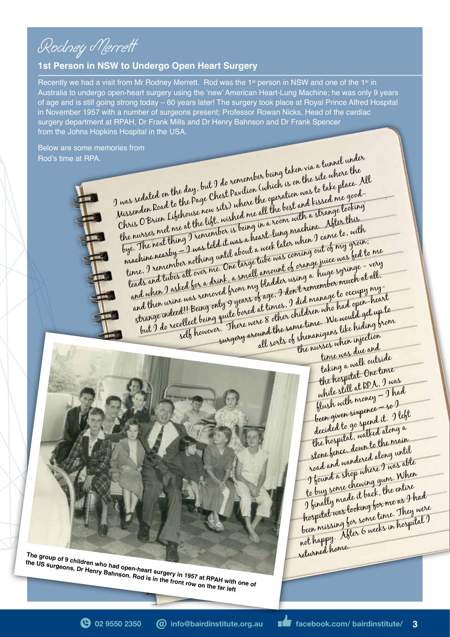Rodney Merrett

#### **1st Person in NSW to Undergo Open Heart Surgery**

Recently we had a visit from Mr Rodney Merrett. Rod was the 1st person in NSW and one of the 1st in Australia to undergo open-heart surgery using the 'new' American Heart-Lung Machine; he was only 9 years of age and is still going strong today – 60 years later! The surgery took place at Royal Prince Alfred Hospital in November 1957 with a number of surgeons present; Professor Rowan Nicks, Head of the cardiac surgery department at RPAH, Dr Frank Mills and Dr Henry Bahnson and Dr Frank Spencer from the Johns Hopkins Hospital in the USA.

Below are some memories from Rod's time at RPA.

I was sedated on the day, but I do remember being taken via a tunnel under Missenden Road to the Page Chest Pavilion (which is on the site where the Chris O'Brien Lifehouse now sits) where the operation was to take place. All the nurses met me at the lift, wished me all the best and kissed me goodbye. The next thing I remember is being in a room with a strange looking machine nearby – I was told it was a heart-lung machine. After this time, I remember nothing until about a week later when I came to, with leads and tubes all over me. One large tube was coming out of my groin; and when I asked for a drink, a small amount of orange juice was fed to me and then urine was removed from my bladder using a huge syringe - very strange indeed!! Being only 9 years of age, I don't remember much at all, but I do recollect being quite bored at times, I did manage to occupy my-<br>but I do recollect being quite bored at times, I did manage to occupy my-<br>self however. There were 8 other same time. We would get up the<br>all sorts self however. There were 8 other children who had open-heart surgery around the same time. We would get up to re 8 order<br>und the same time. We were hiding brom<br>all sorts of shenanigans like hiding brom<br>the nurses when in due and



**The group of 9 children who had open-heart surgery in 1957 at RPAH with one of**  $\frac{1}{2}$ **the US surgeons, Dr Henry Bahnson. Rod is in the front row on the far left**

time was due and taking a walk outside the hospital. One time while still at RPA, I was flush with money – I had been given sixpence – so I decided to go spend it. I left the hospital, walked along a stone fence, down to the main road and wandered along until I found a shop where I was able to buy some chewing gum. When I finally made it back, the entire hospital was looking for me as I had been missing for some time. They were not happy. After 6 weeks in hospital I returned home.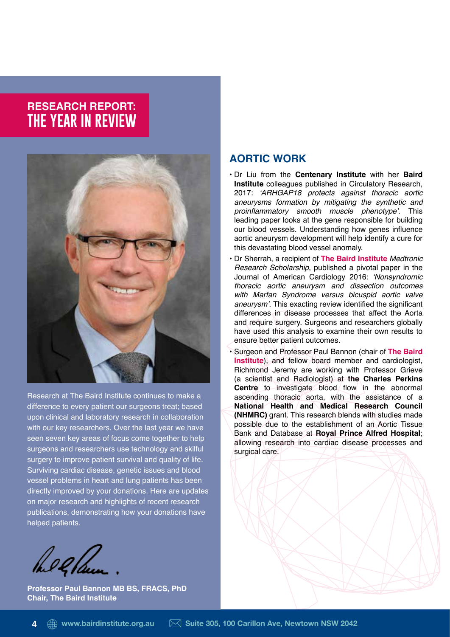# **RESEARCH REPORT: THE YEAR IN REVIEW**



Research at The Baird Institute continues to make a difference to every patient our surgeons treat; based upon clinical and laboratory research in collaboration with our key researchers. Over the last year we have seen seven key areas of focus come together to help surgeons and researchers use technology and skilful surgery to improve patient survival and quality of life. Surviving cardiac disease, genetic issues and blood vessel problems in heart and lung patients has been directly improved by your donations. Here are updates on major research and highlights of recent research publications, demonstrating how your donations have helped patients.

he 2 laun

**Professor Paul Bannon MB BS, FRACS, PhD Chair, The Baird Institute**

## **AORTIC WORK**

- Dr Liu from the **Centenary Institute** with her **Baird Institute** colleagues published in Circulatory Research, 2017: 'ARHGAP18 protects against thoracic aortic aneurysms formation by mitigating the synthetic and proinflammatory smooth muscle phenotype'. This leading paper looks at the gene responsible for building our blood vessels. Understanding how genes infuence aortic aneurysm development will help identify a cure for this devastating blood vessel anomaly.
- Dr Sherrah, a recipient of **The Baird Institute** Medtronic Research Scholarship, published a pivotal paper in the Journal of American Cardiology 2016: 'Nonsyndromic thoracic aortic aneurysm and dissection outcomes with Marfan Syndrome versus bicuspid aortic valve aneurysm'. This exacting review identified the significant differences in disease processes that affect the Aorta and require surgery. Surgeons and researchers globally have used this analysis to examine their own results to ensure better patient outcomes.
- Surgeon and Professor Paul Bannon (chair of **The Baird Institute**), and fellow board member and cardiologist, Richmond Jeremy are working with Professor Grieve (a scientist and Radiologist) at **the Charles Perkins Centre** to investigate blood flow in the abnormal ascending thoracic aorta, with the assistance of a **National Health and Medical Research Council (NHMRC)** grant. This research blends with studies made possible due to the establishment of an Aortic Tissue Bank and Database at **Royal Prince Alfred Hospital**; allowing research into cardiac disease processes and surgical care.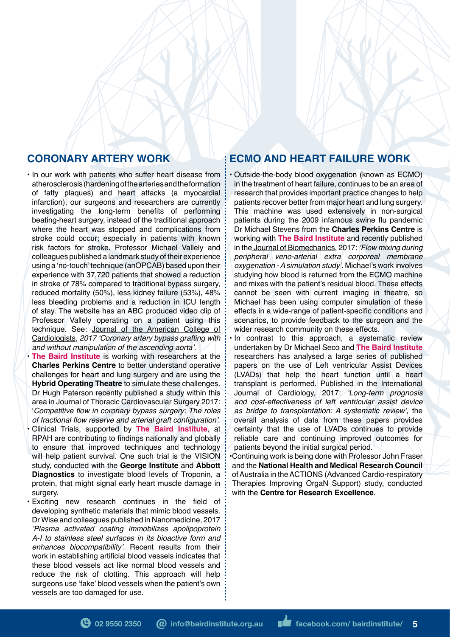# **CORONARY ARTERY WORK**

• In our work with patients who suffer heart disease from atherosclerosis (hardening of the arteries and the formation of fatty plaques) and heart attacks (a myocardial infarction), our surgeons and researchers are currently investigating the long-term benefits of performing beating-heart surgery, instead of the traditional approach where the heart was stopped and complications from stroke could occur; especially in patients with known risk factors for stroke. Professor Michael Vallely and colleagues published a landmark study of their experience using a 'no-touch' technique (anOPCAB) based upon their experience with 37,720 patients that showed a reduction in stroke of 78% compared to traditional bypass surgery, reduced mortality (50%), less kidney failure (53%), 48% less bleeding problems and a reduction in ICU length of stay. The website has an ABC produced video clip of Professor Vallely operating on a patient using this technique. See: Journal of the American College of Cardiologists, 2017 'Coronary artery bypass grafting with and without manipulation of the ascending aorta'.

**• The Baird Institute** is working with researchers at the **Charles Perkins Centre** to better understand operative challenges for heart and lung surgery and are using the **Hybrid Operating Theatre** to simulate these challenges. Dr Hugh Paterson recently published a study within this area in Journal of Thoracic Cardiovascular Surgery 2017: 'Competitive flow in coronary bypass surgery: The roles of fractional flow reserve and arterial graft configuration'.

• Clinical Trials, supported by **The Baird Institute**, at RPAH are contributing to findings nationally and globally to ensure that improved techniques and technology will help patient survival. One such trial is the VISION study, conducted with the **George Institute** and **Abbott Diagnostics** to investigate blood levels of Troponin, a protein, that might signal early heart muscle damage in surgery.

Exciting new research continues in the field of developing synthetic materials that mimic blood vessels. Dr Wise and colleagues published in Nanomedicine, 2017 'Plasma activated coating immobilizes apolipoprotein A-I to stainless steel surfaces in its bioactive form and enhances biocompatibility'. Recent results from their work in establishing artificial blood vessels indicates that these blood vessels act like normal blood vessels and reduce the risk of clotting. This approach will help surgeons use 'fake' blood vessels when the patient's own vessels are too damaged for use.

## **ECMO AND HEART FAILURE WORK**

• Outside-the-body blood oxygenation (known as ECMO) in the treatment of heart failure, continues to be an area of research that provides important practice changes to help patients recover better from major heart and lung surgery. This machine was used extensively in non-surgical patients during the 2009 infamous swine fu pandemic Dr Michael Stevens from the **Charles Perkins Centre** is working with **The Baird Institute** and recently published in the Journal of Biomechanics, 2017: 'Flow mixing during peripheral veno-arterial extra corporeal membrane oxygenation - A simulation study'. Michael's work involves studying how blood is returned from the ECMO machine and mixes with the patient's residual blood. These effects cannot be seen with current imaging in theatre, so Michael has been using computer simulation of these effects in a wide-range of patient-specific conditions and scenarios, to provide feedback to the surgeon and the wider research community on these effects.

In contrast to this approach, a systematic review undertaken by Dr Michael Seco and **The Baird Institute** researchers has analysed a large series of published papers on the use of Left ventricular Assist Devices (LVADs) that help the heart function until a heart transplant is performed. Published in the International Journal of Cardiology, 2017: 'Long-term prognosis and cost-effectiveness of left ventricular assist device as bridge to transplantation: A systematic review', the overall analysis of data from these papers provides certainty that the use of LVADs continues to provide reliable care and continuing improved outcomes for patients beyond the initial surgical period.

•Continuing work is being done with Professor John Fraser and the **National Health and Medical Research Council**  of Australia in the ACTIONS (Advanced Cardio-respiratory Therapies Improving OrgaN Support) study, conducted with the **Centre for Research Excellence**.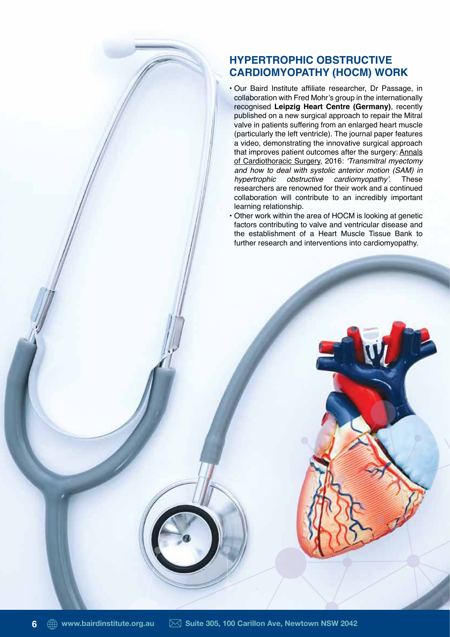## **HYPERTROPHIC OBSTRUCTIVE CARDIOMYOPATHY (HOCM) WORK**

- Our Baird Institute affliate researcher, Dr Passage, in collaboration with Fred Mohr's group in the internationally recognised **Leipzig Heart Centre (Germany)**, recently published on a new surgical approach to repair the Mitral valve in patients suffering from an enlarged heart muscle (particularly the left ventricle). The journal paper features a video, demonstrating the innovative surgical approach that improves patient outcomes after the surgery: Annals of Cardiothoracic Surgery, 2016: 'Transmitral myectomy and how to deal with systolic anterior motion (SAM) in hypertrophic obstructive cardiomyopathy'. These researchers are renowned for their work and a continued collaboration will contribute to an incredibly important learning relationship.
- Other work within the area of HOCM is looking at genetic factors contributing to valve and ventricular disease and the establishment of a Heart Muscle Tissue Bank to further research and interventions into cardiomyopathy.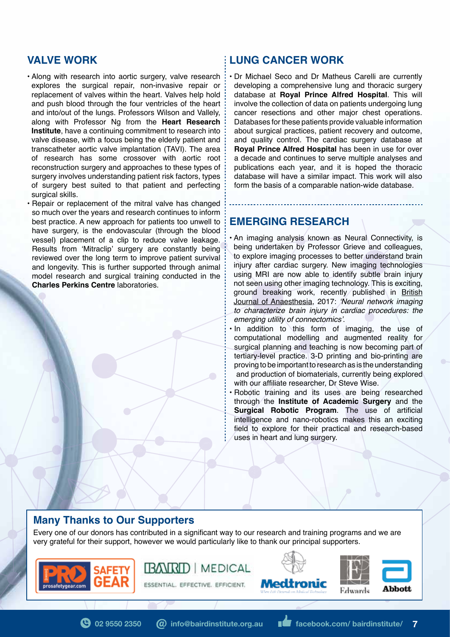#### **VALVE WORK**

- Along with research into aortic surgery, valve research explores the surgical repair, non-invasive repair or replacement of valves within the heart. Valves help hold and push blood through the four ventricles of the heart and into/out of the lungs. Professors Wilson and Vallely, along with Professor Ng from the **Heart Research Institute**, have a continuing commitment to research into valve disease, with a focus being the elderly patient and transcatheter aortic valve implantation (TAVI). The area of research has some crossover with aortic root reconstruction surgery and approaches to these types of surgery involves understanding patient risk factors, types of surgery best suited to that patient and perfecting surgical skills.
- Repair or replacement of the mitral valve has changed so much over the years and research continues to inform best practice. A new approach for patients too unwell to have surgery, is the endovascular (through the blood vessel) placement of a clip to reduce valve leakage. Results from 'Mitraclip' surgery are constantly being reviewed over the long term to improve patient survival and longevity. This is further supported through animal model research and surgical training conducted in the **Charles Perkins Centre** laboratories.

#### **LUNG CANCER WORK**

• Dr Michael Seco and Dr Matheus Carelli are currently developing a comprehensive lung and thoracic surgery database at **Royal Prince Alfred Hospital**. This will involve the collection of data on patients undergoing lung cancer resections and other major chest operations. Databases for these patients provide valuable information about surgical practices, patient recovery and outcome, and quality control. The cardiac surgery database at **Royal Prince Alfred Hospital** has been in use for over a decade and continues to serve multiple analyses and publications each year, and it is hoped the thoracic database will have a similar impact. This work will also form the basis of a comparable nation-wide database.

#### **EMERGING RESEARCH**

• An imaging analysis known as Neural Connectivity, is being undertaken by Professor Grieve and colleagues, to explore imaging processes to better understand brain injury after cardiac surgery. New imaging technologies using MRI are now able to identify subtle brain injury not seen using other imaging technology. This is exciting, ground breaking work, recently published in British Journal of Anaesthesia, 2017: 'Neural network imaging to characterize brain injury in cardiac procedures: the emerging utility of connectomics'.

- In addition to this form of imaging, the use of computational modelling and augmented reality for surgical planning and teaching is now becoming part of tertiary-level practice. 3-D printing and bio-printing are proving to be important to research as is the understanding and production of biomaterials, currently being explored with our affliate researcher, Dr Steve Wise.
- Robotic training and its uses are being researched through the **Institute of Academic Surgery** and the Surgical Robotic Program. The use of artificial intelligence and nano-robotics makes this an exciting feld to explore for their practical and research-based uses in heart and lung surgery.

#### **Many Thanks to Our Supporters**

Every one of our donors has contributed in a signifcant way to our research and training programs and we are very grateful for their support, however we would particularly like to thank our principal supporters.



**BANRD | MEDICAL** ESSENTIAL. EFFECTIVE. EFFICIENT.





**abie 30550 2350 (a)** info@bairdinstitute.org.au **facebook.com/ bairdinstitute/ 7**